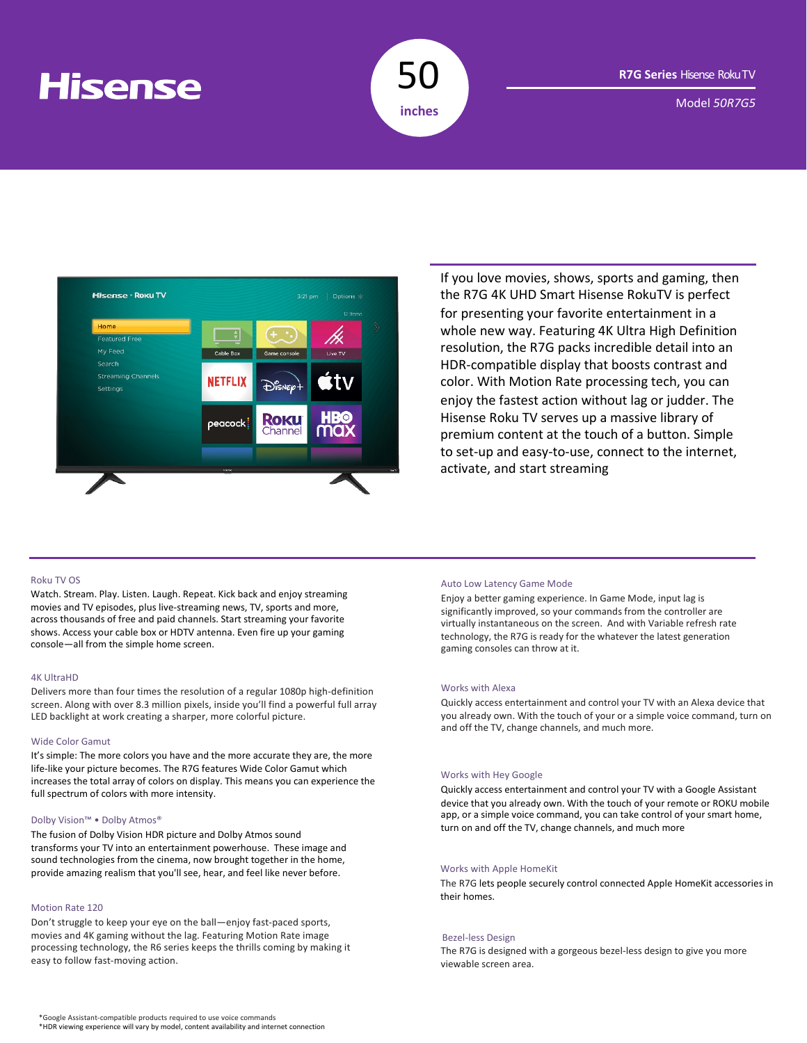# **Hisense**



Model *50R7G5*



If you love movies, shows, sports and gaming, then the R7G 4K UHD Smart Hisense RokuTV is perfect for presenting your favorite entertainment in a whole new way. Featuring 4K Ultra High Definition resolution, the R7G packs incredible detail into an HDR-compatible display that boosts contrast and color. With Motion Rate processing tech, you can enjoy the fastest action without lag or judder. The Hisense Roku TV serves up a massive library of premium content at the touch of a button. Simple to set-up and easy-to-use, connect to the internet, activate, and start streaming

# Roku TV OS

Watch. Stream. Play. Listen. Laugh. Repeat. Kick back and enjoy streaming movies and TV episodes, plus live-streaming news, TV, sports and more, across thousands of free and paid channels. Start streaming your favorite shows. Access your cable box or HDTV antenna. Even fire up your gaming console—all from the simple home screen.

#### 4K UltraHD

Delivers more than four times the resolution of a regular 1080p high-definition screen. Along with over 8.3 million pixels, inside you'll find a powerful full array LED backlight at work creating a sharper, more colorful picture.

#### Wide Color Gamut

It's simple: The more colors you have and the more accurate they are, the more life-like your picture becomes. The R7G features Wide Color Gamut which increases the total array of colors on display. This means you can experience the full spectrum of colors with more intensity.

### Dolby Vision™ • Dolby Atmos®

The fusion of Dolby Vision HDR picture and Dolby Atmos sound transforms your TV into an entertainment powerhouse. These image and sound technologies from the cinema, now brought together in the home, provide amazing realism that you'll see, hear, and feel like never before.

#### Motion Rate 120

Don't struggle to keep your eye on the ball—enjoy fast-paced sports, movies and 4K gaming without the lag. Featuring Motion Rate image processing technology, the R6 series keeps the thrills coming by making it easy to follow fast-moving action.

# Auto Low Latency Game Mode

Enjoy a better gaming experience. In Game Mode, input lag is significantly improved, so your commands from the controller are virtually instantaneous on the screen. And with Variable refresh rate technology, the R7G is ready for the whatever the latest generation gaming consoles can throw at it.

### Works with Alexa

Quickly access entertainment and control your TV with an Alexa device that you already own. With the touch of your or a simple voice command, turn on and off the TV, change channels, and much more.

#### Works with Hey Google

Quickly access entertainment and control your TV with a Google Assistant device that you already own. With the touch of your remote or ROKU mobile app, or a simple voice command, you can take control of your smart home, turn on and off the TV, change channels, and much more

### Works with Apple HomeKit

The R7G lets people securely control connected Apple HomeKit accessories in their homes.

#### Bezel-less Design

The R7G is designed with a gorgeous bezel-less design to give you more viewable screen area.